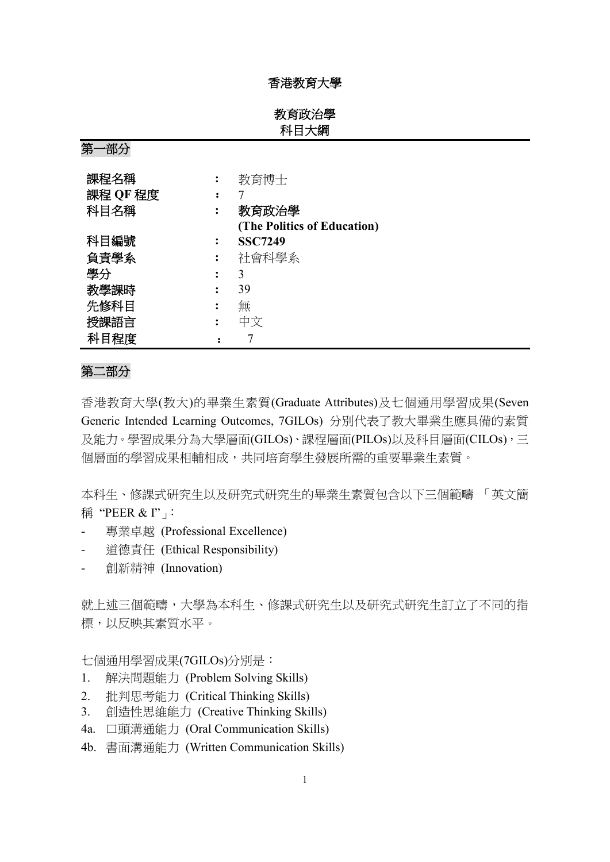### 香港教育大學

教育政治學 科目大綱

第一部分

| 課程名稱     | 教育博士                        |
|----------|-----------------------------|
| 課程 QF 程度 |                             |
| 科目名稱     | 教育政治學                       |
|          | (The Politics of Education) |
| 科目編號     | <b>SSC7249</b>              |
| 負責學系     | 社會科學系                       |
| 學分       | 3                           |
| 教學課時     | 39                          |
| 先修科目     | 無                           |
| 授課語言     | 中文                          |
| 科目程度     |                             |

#### 第二部分

香港教育大學(教大)的畢業生素質(Graduate Attributes)及七個通用學習成果(Seven Generic Intended Learning Outcomes, 7GILOs) 分別代表了教大畢業生應具備的素質 及能力。學習成果分為大學層面(GILOs)、課程層面(PILOs)以及科目層面(CILOs),三 個層面的學習成果相輔相成,共同培育學生發展所需的重要畢業生素質。

本科生、修課式研究生以及研究式研究生的畢業生素質包含以下三個範疇 「英文簡 稱 "PEER & I"」

- 專業卓越 (Professional Excellence)
- 道德責任 (Ethical Responsibility)
- 創新精神 (Innovation)

就上述三個範疇,大學為本科生、修課式研究生以及研究式研究生訂立了不同的指 標,以反映其素質水平。

七個通用學習成果(7GILOs)分別是:

- 1. 解決問題能力 (Problem Solving Skills)
- 2. 批判思考能力 (Critical Thinking Skills)
- 3. 創造性思維能力 (Creative Thinking Skills)
- 4a. 口頭溝通能力 (Oral Communication Skills)
- 4b. 書面溝通能力 (Written Communication Skills)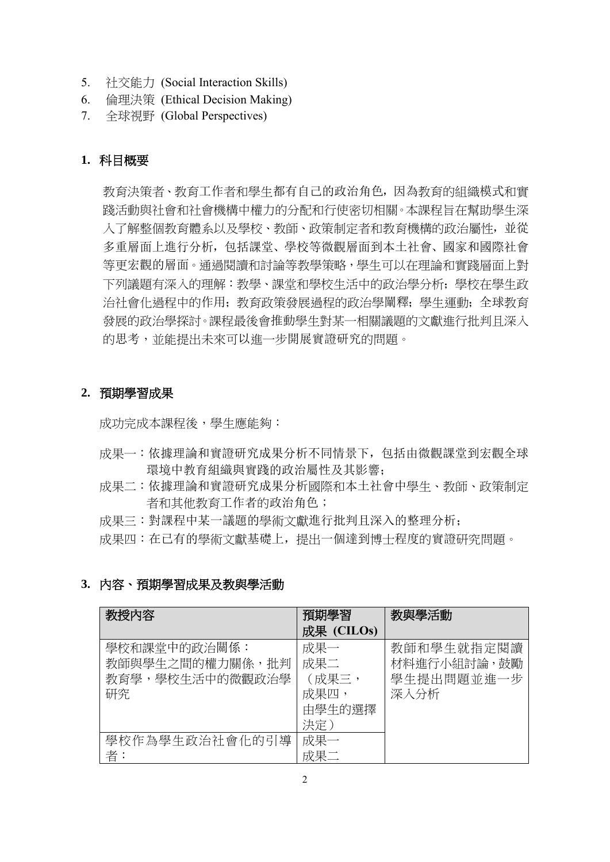- 5. 社交能力 (Social Interaction Skills)
- 6. 倫理決策 (Ethical Decision Making)
- 7. 全球視野 (Global Perspectives)

## **1.** 科目概要

教育決策者、教育工作者和學生都有自己的政治角色,因為教育的組織模式和實 踐活動與社會和社會機構中權力的分配和行使密切相關。本課程旨在幫助學生深 入了解整個教育體系以及學校、教師、政策制定者和教育機構的政治屬性,並從 多重層面上進行分析,包括課堂、學校等微觀層面到本土社會、國家和國際社會 等更宏觀的層面。通過閱讀和討論等教學策略,學生可以在理論和實踐層面上對 下列議題有深入的理解:教學、課堂和學校生活中的政治學分析;學校在學生政 治社會化過程中的作用;教育政策發展過程的政治學闡釋;學生運動;全球教育 發展的政治學探討。課程最後會推動學生對某一相關議題的文獻進行批判且深入 的思考,並能提出未來可以進一步開展實證研究的問題。

### **2.** 預期學習成果

成功完成本課程後,學生應能夠:

- 成果一:依據理論和實證研究成果分析不同情景下,包括由微觀課堂到宏觀全球 環境中教育組織與實踐的政治屬性及其影響;
- 成果二:依據理論和實證研究成果分析國際和本土社會中學生、教師、政策制定 者和其他教育工作者的政治角色;
- 成果三:對課程中某一議題的學術文獻進行批判且深入的整理分析;
- 成果四:在已有的學術文獻基礎上,提出一個達到博士程度的實證研究問題。

### **3.** 內容、預期學習成果及教與學活動

| 教授內容            | 預期學習       | 教與學活動       |
|-----------------|------------|-------------|
|                 | 成果 (CILOs) |             |
| 學校和課堂中的政治關係:    | 成果一        | 教師和學生就指定閱讀  |
| 教師與學生之間的權力關係,批判 | 成果二        | 材料進行小組討論,鼓勵 |
| 教育學,學校牛活中的微觀政治學 | (成果三,      | 學生提出問題並進一步  |
| 研究              | 成果四,       | 深入分析        |
|                 | 由學生的選擇     |             |
|                 | 決定)        |             |
| 學校作為學生政治社會化的引導  | 成果一        |             |
| 者.              | 成果二        |             |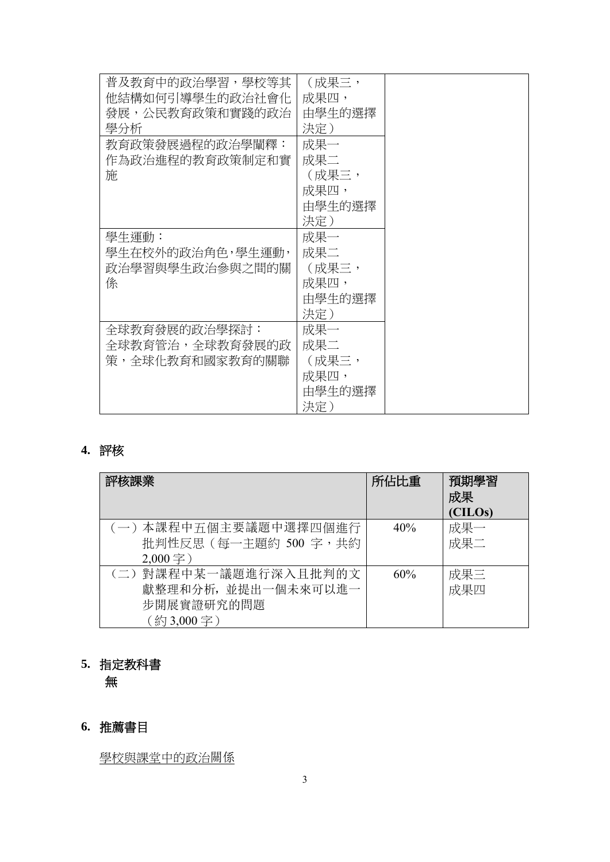| 普及教育中的政治學習,學校等其  | (成果三,  |  |
|------------------|--------|--|
| 他結構如何引導學生的政治社會化  | 成果四,   |  |
| 發展,公民教育政策和實踐的政治  | 由學生的選擇 |  |
| 學分析              | 決定)    |  |
| 教育政策發展過程的政治學闡釋:  | 成果一    |  |
| 作為政治進程的教育政策制定和實  | 成果二    |  |
| 施                | (成果三,  |  |
|                  | 成果四,   |  |
|                  | 由學生的選擇 |  |
|                  | 決定)    |  |
| 學牛運動:            | 成果一    |  |
| 學生在校外的政治角色,學生運動, | 成果二    |  |
| 政治學習與學生政治參與之間的關  | (成果三,  |  |
| 係                | 成果四,   |  |
|                  | 由學生的選擇 |  |
|                  | 決定)    |  |
| 全球教育發展的政治學探討:    | 成果一    |  |
| 全球教育管治,全球教育發展的政  | 成果二    |  |
| 策,全球化教育和國家教育的關聯  | (成果三,  |  |
|                  | 成果四,   |  |
|                  | 由學生的選擇 |  |
|                  | 決定)    |  |

# **4.** 評核

| 評核課業                                                                   | 所佔比重 | 預期學習<br>成果<br>(CILOs) |
|------------------------------------------------------------------------|------|-----------------------|
| (一)本課程中五個主要議題中選擇四個進行<br>批判性反思(每一主題約 500 字,共約<br>$2,000 \ncong$ )       | 40%  | 成果一<br>成果二            |
| (二)對課程中某一議題進行深入且批判的文<br>獻整理和分析, 並提出一個未來可以進一<br>步開展實證研究的問題<br>(約3,000字) | 60%  | 成果三<br>成果四            |

# **5.** 指定教科書

無

# **6.** 推薦書目

學校與課堂中的政治關係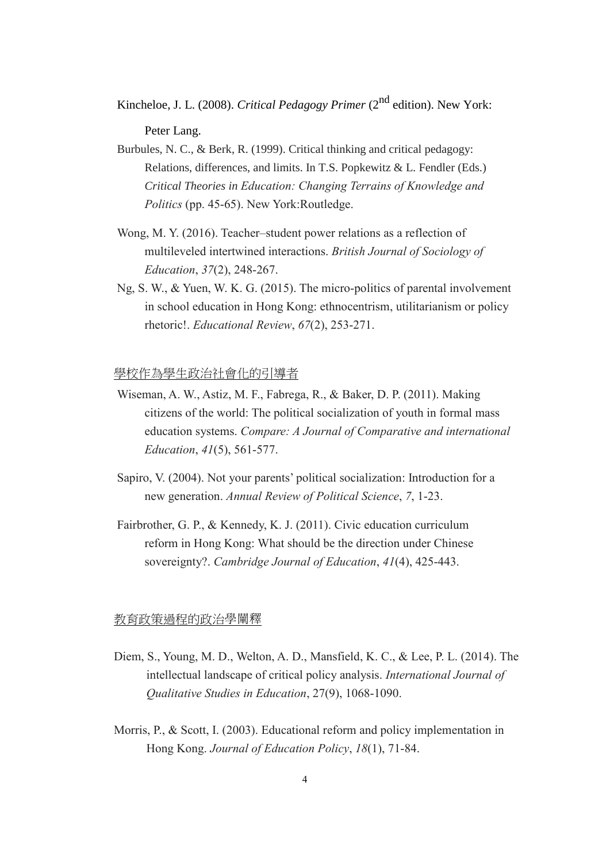Kincheloe, J. L. (2008). *Critical Pedagogy Primer* (2<sup>nd</sup> edition). New York:

Peter Lang.

- Burbules, N. C., & Berk, R. (1999). Critical thinking and critical pedagogy: Relations, differences, and limits. In T.S. Popkewitz & L. Fendler (Eds.) *Critical Theories in Education: Changing Terrains of Knowledge and Politics* (pp. 45-65). New York:Routledge.
- Wong, M. Y. (2016). Teacher–student power relations as a reflection of multileveled intertwined interactions. *British Journal of Sociology of Education*, *37*(2), 248-267.
- Ng, S. W., & Yuen, W. K. G. (2015). The micro-politics of parental involvement in school education in Hong Kong: ethnocentrism, utilitarianism or policy rhetoric!. *Educational Review*, *67*(2), 253-271.

#### 學校作為學生政治社會化的引導者

- Wiseman, A. W., Astiz, M. F., Fabrega, R., & Baker, D. P. (2011). Making citizens of the world: The political socialization of youth in formal mass education systems. *Compare: A Journal of Comparative and international Education*, *41*(5), 561-577.
- Sapiro, V. (2004). Not your parents' political socialization: Introduction for a new generation. *Annual Review of Political Science*, *7*, 1-23.
- Fairbrother, G. P., & Kennedy, K. J. (2011). Civic education curriculum reform in Hong Kong: What should be the direction under Chinese sovereignty?. *Cambridge Journal of Education*, *41*(4), 425-443.

#### 教育政策過程的政治學闡釋

- Diem, S., Young, M. D., Welton, A. D., Mansfield, K. C., & Lee, P. L. (2014). The intellectual landscape of critical policy analysis. *International Journal of Qualitative Studies in Education*, 27(9), 1068-1090.
- Morris, P., & Scott, I. (2003). Educational reform and policy implementation in Hong Kong. *Journal of Education Policy*, *18*(1), 71-84.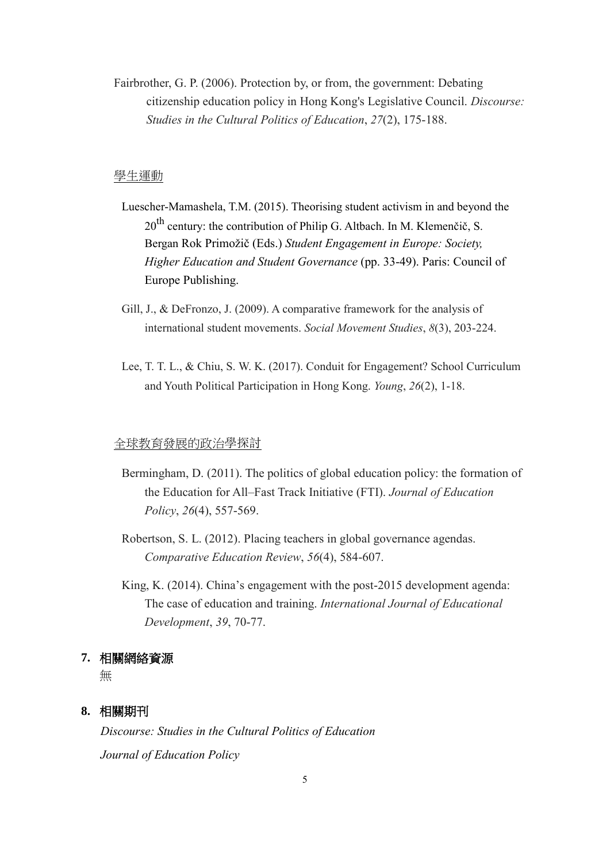Fairbrother, G. P. (2006). Protection by, or from, the government: Debating citizenship education policy in Hong Kong's Legislative Council. *Discourse: Studies in the Cultural Politics of Education*, *27*(2), 175-188.

#### 學生運動

- Luescher-Mamashela, T.M. (2015). Theorising student activism in and beyond the  $20<sup>th</sup>$  century: the contribution of Philip G. Altbach. In M. Klemenčič, S. Bergan Rok Primožič (Eds.) *Student Engagement in Europe: Society, Higher Education and Student Governance* (pp. 33-49). Paris: Council of Europe Publishing.
- Gill, J., & DeFronzo, J. (2009). A comparative framework for the analysis of international student movements. *Social Movement Studies*, *8*(3), 203-224.
- Lee, T. T. L., & Chiu, S. W. K. (2017). Conduit for Engagement? School Curriculum and Youth Political Participation in Hong Kong. *Young*, *26*(2), 1-18.

#### 全球教育發展的政治學探討

- Bermingham, D. (2011). The politics of global education policy: the formation of the Education for All–Fast Track Initiative (FTI). *Journal of Education Policy*, *26*(4), 557-569.
- Robertson, S. L. (2012). Placing teachers in global governance agendas. *Comparative Education Review*, *56*(4), 584-607.
- King, K. (2014). China's engagement with the post-2015 development agenda: The case of education and training. *International Journal of Educational Development*, *39*, 70-77.

#### **7.** 相關網絡資源

無

#### **8.** 相關期刊

*Discourse: Studies in the Cultural Politics of Education Journal of Education Policy*